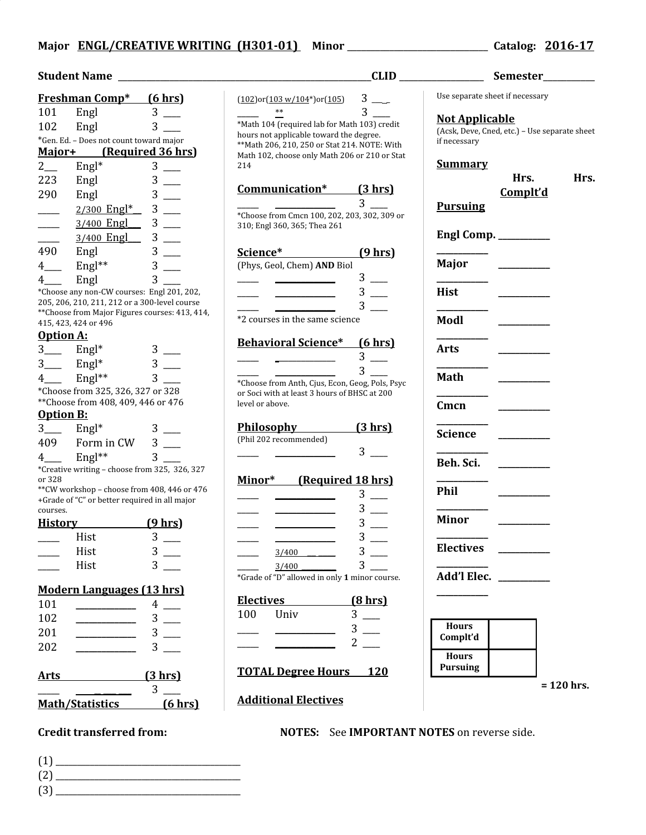## **Major ENGL/CREATIVE WRITING (H301-01) Minor** \_\_\_\_\_\_\_\_\_\_\_\_\_\_\_\_\_\_\_\_\_\_\_\_\_\_\_\_\_\_ **Catalog: 2016-17**

| <b>Freshman Comp*</b>                   | <u>(6 hrs)</u> |  |  |
|-----------------------------------------|----------------|--|--|
| Engl                                    | 3              |  |  |
| Engl                                    | 3              |  |  |
| *Gen. Ed. - Does not count toward major |                |  |  |
| (Required 36 hrs)<br>Major+             |                |  |  |
| $Engl*$                                 | 3              |  |  |
| Engl                                    | 3              |  |  |
| Engl                                    | 3              |  |  |
| $2/300$ Engl <sup>*</sup>               | 3              |  |  |
| 3/400 Engl                              | 3              |  |  |
| 3/400 Engl                              | 3              |  |  |
| Engl                                    | 3              |  |  |
| $English*$                              | 3              |  |  |
| Engl                                    | 3              |  |  |
|                                         |                |  |  |

\*Choose any non-CW courses: Engl 201, 202, 205, 206, 210, 211, 212 or a 300-level course \*\*Choose from Major Figures courses: 413, 414, 415, 423, 424 or 496

#### **Option A:**

| 3.                                            | $Engl*$                                     | З |  |
|-----------------------------------------------|---------------------------------------------|---|--|
|                                               |                                             |   |  |
| 3                                             | $Engl*$                                     | 3 |  |
|                                               | $Engl**$                                    | 3 |  |
|                                               | *Choose from 325, 326, 327 or 328           |   |  |
| **Choose from 408, 409, 446 or 476            |                                             |   |  |
| <b>Option B:</b>                              |                                             |   |  |
| $3$ <sub>__</sub>                             | $Engl*$                                     | З |  |
| 409                                           | Form in CW                                  | 3 |  |
| 4                                             | $Engl**$                                    | 3 |  |
| *Creative writing - choose from 325, 326, 327 |                                             |   |  |
| or 328                                        |                                             |   |  |
|                                               | **CW workshop – choose from 408, 446 or 476 |   |  |

\*\*CW workshop – choose from 408, 446 or 476 +Grade of "C" or better required in all major courses.

| <b>History</b> | (9 hrs) |
|----------------|---------|
| Hist           |         |
| Hist           |         |
| Hist           |         |

### **Modern Languages (13 hrs)**

| 101 |  |
|-----|--|
| 102 |  |
| 201 |  |
| 202 |  |

| Arts                   | (3 hrs) |  |
|------------------------|---------|--|
|                        |         |  |
| <b>Math/Statistics</b> | (6 hrs) |  |

- (1) \_\_\_\_\_\_\_\_\_\_\_\_\_\_\_\_\_\_\_\_\_\_\_\_\_\_\_\_\_\_\_\_\_\_\_\_\_\_\_\_\_\_\_ (2) \_\_\_\_\_\_\_\_\_\_\_\_\_\_\_\_\_\_\_\_\_\_\_\_\_\_\_\_\_\_\_\_\_\_\_\_\_\_\_\_\_\_\_
- $(3)$

**Student Name** \_\_\_\_\_\_\_\_\_\_\_\_\_\_\_\_\_\_\_\_\_\_\_\_\_\_\_\_\_\_\_\_\_\_\_\_\_\_\_\_\_\_\_\_\_\_\_\_\_\_\_\_\_\_**CLID** \_\_\_\_\_\_\_\_\_\_\_\_\_\_\_\_\_\_ **Semester**\_\_\_\_\_\_\_\_\_\_\_

 $(102)$ or $(103 \text{ w}/104^*)$ or $(105)$  3 \_\_\_

 $\frac{1}{2}$   $\frac{1}{2}$   $\frac{1}{2}$   $\frac{1}{2}$   $\frac{1}{2}$   $\frac{1}{2}$   $\frac{1}{2}$   $\frac{1}{2}$   $\frac{1}{2}$   $\frac{1}{2}$   $\frac{1}{2}$   $\frac{1}{2}$   $\frac{1}{2}$   $\frac{1}{2}$   $\frac{1}{2}$   $\frac{1}{2}$   $\frac{1}{2}$   $\frac{1}{2}$   $\frac{1}{2}$   $\frac{1}{2}$   $\frac{1}{2}$   $\frac{1}{2}$  \*Math 104 (required lab for Math 103) credit

hours not applicable toward the degree. \*\*Math 206, 210, 250 or Stat 214. NOTE: With Math 102, choose only Math 206 or 210 or Stat 214

### **Communication\* (3 hrs)**

 $\frac{1}{\sqrt{3}}$   $\frac{1}{\sqrt{3}}$   $\frac{1}{\sqrt{3}}$   $\frac{1}{\sqrt{3}}$   $\frac{1}{\sqrt{3}}$   $\frac{1}{\sqrt{3}}$   $\frac{1}{\sqrt{3}}$   $\frac{1}{\sqrt{3}}$   $\frac{1}{\sqrt{3}}$   $\frac{1}{\sqrt{3}}$   $\frac{1}{\sqrt{3}}$   $\frac{1}{\sqrt{3}}$   $\frac{1}{\sqrt{3}}$   $\frac{1}{\sqrt{3}}$   $\frac{1}{\sqrt{3}}$   $\frac{1}{\sqrt{3}}$   $\frac{1}{\sqrt{3}}$  \*Choose from Cmcn 100, 202, 203, 302, 309 or 310; Engl 360, 365; Thea 261

# **Science\* (9 hrs)** (Phys, Geol, Chem) **AND** Biol  $\frac{3}{2}$

 $3$   $\equiv$  $3$   $\overline{\phantom{0}}$ \*2 courses in the same science

## **Behavioral Science\* (6 hrs)**

 $3$   $\qquad$ \*Choose from Anth, Cjus, Econ, Geog, Pols, Psyc or Soci with at least 3 hours of BHSC at 200 level or above.

 $3$   $\qquad$ 

**Philosophy (3 hrs)** (Phil 202 recommended)  $\frac{1}{\sqrt{2\pi}}$   $\frac{1}{\sqrt{2\pi}}$   $\frac{3}{\sqrt{2\pi}}$ 

## **Minor\* (Required 18 hrs)**

|       | З                                             |
|-------|-----------------------------------------------|
|       | 3                                             |
|       | 3                                             |
|       | 3                                             |
| 3/400 | 3                                             |
| 3/400 | 3                                             |
|       | *Grade of "D" allowed in only 1 minor course. |

## **Electives (8 hrs)** 100 Univ 3  $\frac{1}{\sqrt{3}}$   $\frac{1}{\sqrt{3}}$   $\frac{1}{\sqrt{3}}$   $\frac{1}{\sqrt{3}}$   $\frac{1}{\sqrt{3}}$   $\frac{1}{\sqrt{3}}$   $\frac{1}{\sqrt{3}}$   $\frac{1}{\sqrt{3}}$   $\frac{1}{\sqrt{3}}$   $\frac{1}{\sqrt{3}}$   $\frac{1}{\sqrt{3}}$   $\frac{1}{\sqrt{3}}$   $\frac{1}{\sqrt{3}}$   $\frac{1}{\sqrt{3}}$   $\frac{1}{\sqrt{3}}$   $\frac{1}{\sqrt{3}}$   $\frac{1}{\sqrt{3}}$

## **TOTAL Degree Hours 120**

# **Additional Electives**

# **Credit transferred from: NOTES:** See **IMPORTANT NOTES** on reverse side.

Use separate sheet if necessary

#### **Not Applicable**

(Acsk, Deve, Cned, etc.) – Use separate sheet if necessary

#### **Summary**

|                                 | Hrs.     | Hrs.         |
|---------------------------------|----------|--------------|
| <b>Pursuing</b>                 | Complt'd |              |
|                                 |          |              |
| Engl Comp. _______              |          |              |
| Major                           |          |              |
| Hist                            |          |              |
| Modl                            |          |              |
| <b>Arts</b>                     |          |              |
| Math                            |          |              |
| Cmcn                            |          |              |
| <b>Science</b>                  |          |              |
| Beh. Sci.                       |          |              |
| Phil                            |          |              |
| Minor                           |          |              |
| <b>Electives</b>                |          |              |
| Add'l Elec.                     |          |              |
|                                 |          |              |
| <b>Hours</b><br>Complt'd        |          |              |
| <b>Hours</b><br><b>Pursuing</b> |          |              |
|                                 |          | $= 120$ hrs. |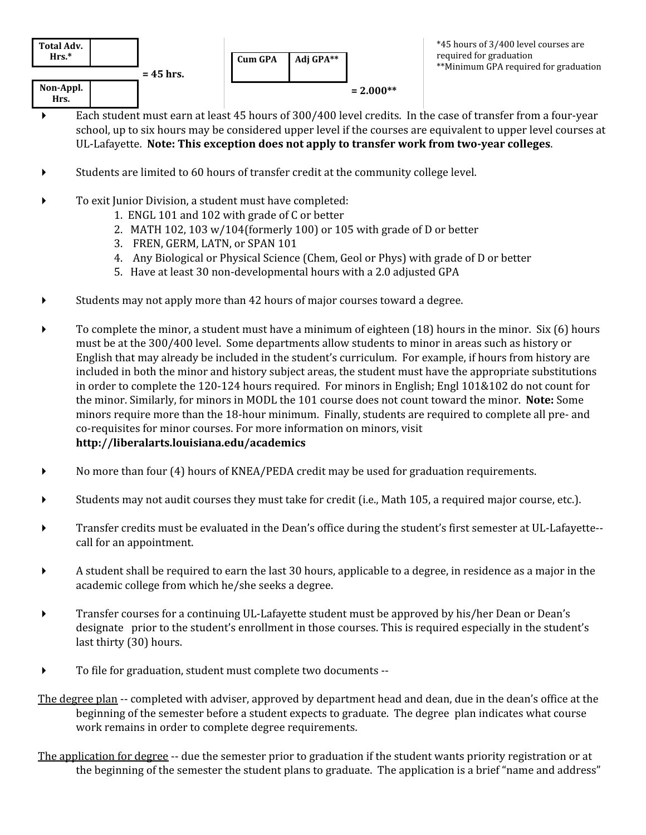

- Each student must earn at least 45 hours of 300/400 level credits. In the case of transfer from a four-year school, up to six hours may be considered upper level if the courses are equivalent to upper level courses at UL-Lafayette. **Note: This exception does not apply to transfer work from two-year colleges**.
- Students are limited to 60 hours of transfer credit at the community college level.
- To exit Junior Division, a student must have completed:
	- 1. ENGL 101 and 102 with grade of C or better
	- 2. MATH 102, 103 w/104(formerly 100) or 105 with grade of D or better
	- 3. FREN, GERM, LATN, or SPAN 101
	- 4. Any Biological or Physical Science (Chem, Geol or Phys) with grade of D or better
	- 5. Have at least 30 non-developmental hours with a 2.0 adjusted GPA
- Students may not apply more than 42 hours of major courses toward a degree.
- To complete the minor, a student must have a minimum of eighteen (18) hours in the minor. Six (6) hours must be at the 300/400 level. Some departments allow students to minor in areas such as history or English that may already be included in the student's curriculum. For example, if hours from history are included in both the minor and history subject areas, the student must have the appropriate substitutions in order to complete the 120-124 hours required. For minors in English; Engl 101&102 do not count for the minor. Similarly, for minors in MODL the 101 course does not count toward the minor. **Note:** Some minors require more than the 18-hour minimum. Finally, students are required to complete all pre- and co-requisites for minor courses. For more information on minors, visit **http://liberalarts.louisiana.edu/academics**
- No more than four (4) hours of KNEA/PEDA credit may be used for graduation requirements.
- Students may not audit courses they must take for credit (i.e., Math 105, a required major course, etc.).
- Transfer credits must be evaluated in the Dean's office during the student's first semester at UL-Lafayette- call for an appointment.
- A student shall be required to earn the last 30 hours, applicable to a degree, in residence as a major in the academic college from which he/she seeks a degree.
- Transfer courses for a continuing UL-Lafayette student must be approved by his/her Dean or Dean's designate prior to the student's enrollment in those courses. This is required especially in the student's last thirty (30) hours.
- To file for graduation, student must complete two documents --
- The degree plan -- completed with adviser, approved by department head and dean, due in the dean's office at the beginning of the semester before a student expects to graduate. The degree plan indicates what course work remains in order to complete degree requirements.
- The application for degree -- due the semester prior to graduation if the student wants priority registration or at the beginning of the semester the student plans to graduate. The application is a brief "name and address"